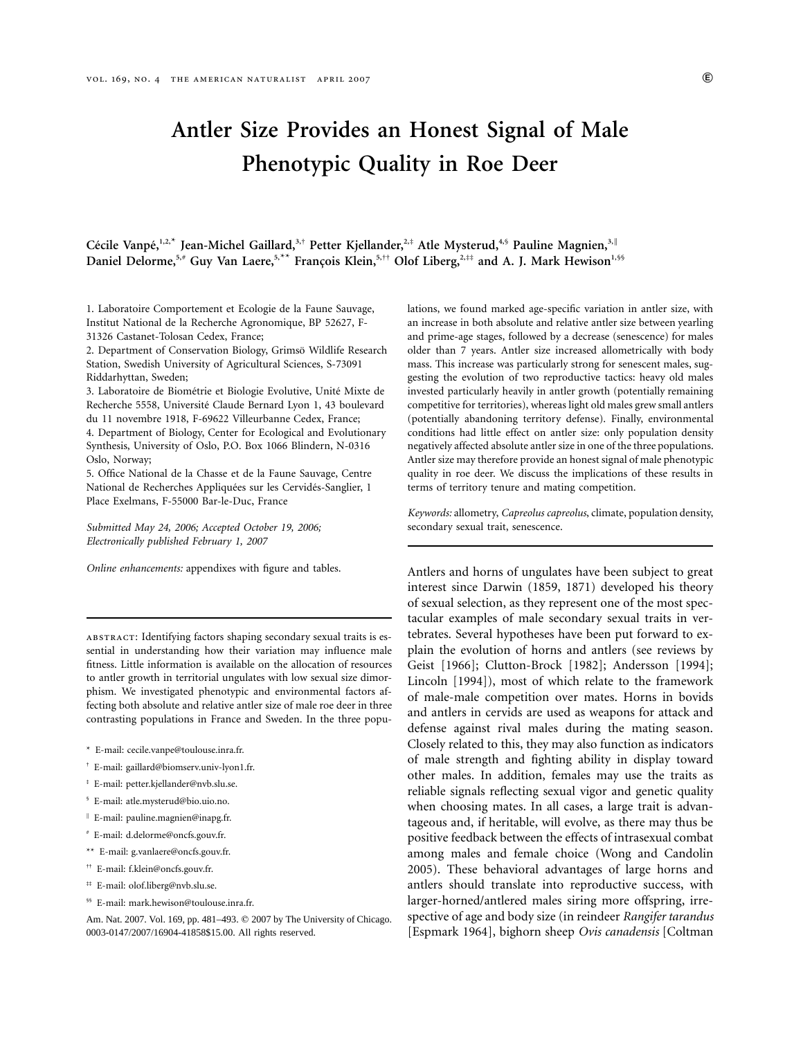# **Antler Size Provides an Honest Signal of Male Phenotypic Quality in Roe Deer**

**Ce´cile Vanpe´,1,2,**\* **Jean-Michel Gaillard,3,**† **Petter Kjellander,2,**‡ **Atle Mysterud,4,**§ **Pauline Magnien,3,**<sup>k</sup> **Daniel Delorme,5,**# **Guy Van Laere,5,**\*\* **Franc¸ois Klein,5,**†† **Olof Liberg,2,**‡‡ **and A. J. Mark Hewison1,**§§

1. Laboratoire Comportement et Ecologie de la Faune Sauvage, Institut National de la Recherche Agronomique, BP 52627, F-31326 Castanet-Tolosan Cedex, France;

2. Department of Conservation Biology, Grimsö Wildlife Research Station, Swedish University of Agricultural Sciences, S-73091 Riddarhyttan, Sweden;

3. Laboratoire de Biométrie et Biologie Evolutive, Unité Mixte de Recherche 5558, Université Claude Bernard Lyon 1, 43 boulevard du 11 novembre 1918, F-69622 Villeurbanne Cedex, France; 4. Department of Biology, Center for Ecological and Evolutionary Synthesis, University of Oslo, P.O. Box 1066 Blindern, N-0316 Oslo, Norway;

5. Office National de la Chasse et de la Faune Sauvage, Centre National de Recherches Appliquées sur les Cervidés-Sanglier, 1 Place Exelmans, F-55000 Bar-le-Duc, France

*Submitted May 24, 2006; Accepted October 19, 2006; Electronically published February 1, 2007*

*Online enhancements:* appendixes with figure and tables.

abstract: Identifying factors shaping secondary sexual traits is essential in understanding how their variation may influence male fitness. Little information is available on the allocation of resources to antler growth in territorial ungulates with low sexual size dimorphism. We investigated phenotypic and environmental factors affecting both absolute and relative antler size of male roe deer in three contrasting populations in France and Sweden. In the three popu-

- \* E-mail: cecile.vanpe@toulouse.inra.fr.
- † E-mail: gaillard@biomserv.univ-lyon1.fr.
- ‡ E-mail: petter.kjellander@nvb.slu.se.
- § E-mail: atle.mysterud@bio.uio.no.
- $E$ -mail: pauline.magnien@inapg.fr.
- # E-mail: d.delorme@oncfs.gouv.fr.
- \*\* E-mail: g.vanlaere@oncfs.gouv.fr.
- †† E-mail: f.klein@oncfs.gouv.fr.
- ‡‡ E-mail: olof.liberg@nvb.slu.se.
- §§ E-mail: mark.hewison@toulouse.inra.fr.

Am. Nat. 2007. Vol. 169, pp. 481–493. © 2007 by The University of Chicago. 0003-0147/2007/16904-41858\$15.00. All rights reserved.

lations, we found marked age-specific variation in antler size, with an increase in both absolute and relative antler size between yearling and prime-age stages, followed by a decrease (senescence) for males older than 7 years. Antler size increased allometrically with body mass. This increase was particularly strong for senescent males, suggesting the evolution of two reproductive tactics: heavy old males invested particularly heavily in antler growth (potentially remaining competitive for territories), whereas light old males grew small antlers (potentially abandoning territory defense). Finally, environmental conditions had little effect on antler size: only population density negatively affected absolute antler size in one of the three populations. Antler size may therefore provide an honest signal of male phenotypic quality in roe deer. We discuss the implications of these results in terms of territory tenure and mating competition.

*Keywords:* allometry, *Capreolus capreolus*, climate, population density, secondary sexual trait, senescence.

Antlers and horns of ungulates have been subject to great interest since Darwin (1859, 1871) developed his theory of sexual selection, as they represent one of the most spectacular examples of male secondary sexual traits in vertebrates. Several hypotheses have been put forward to explain the evolution of horns and antlers (see reviews by Geist [1966]; Clutton-Brock [1982]; Andersson [1994]; Lincoln [1994]), most of which relate to the framework of male-male competition over mates. Horns in bovids and antlers in cervids are used as weapons for attack and defense against rival males during the mating season. Closely related to this, they may also function as indicators of male strength and fighting ability in display toward other males. In addition, females may use the traits as reliable signals reflecting sexual vigor and genetic quality when choosing mates. In all cases, a large trait is advantageous and, if heritable, will evolve, as there may thus be positive feedback between the effects of intrasexual combat among males and female choice (Wong and Candolin 2005). These behavioral advantages of large horns and antlers should translate into reproductive success, with larger-horned/antlered males siring more offspring, irrespective of age and body size (in reindeer *Rangifer tarandus* [Espmark 1964], bighorn sheep *Ovis canadensis* [Coltman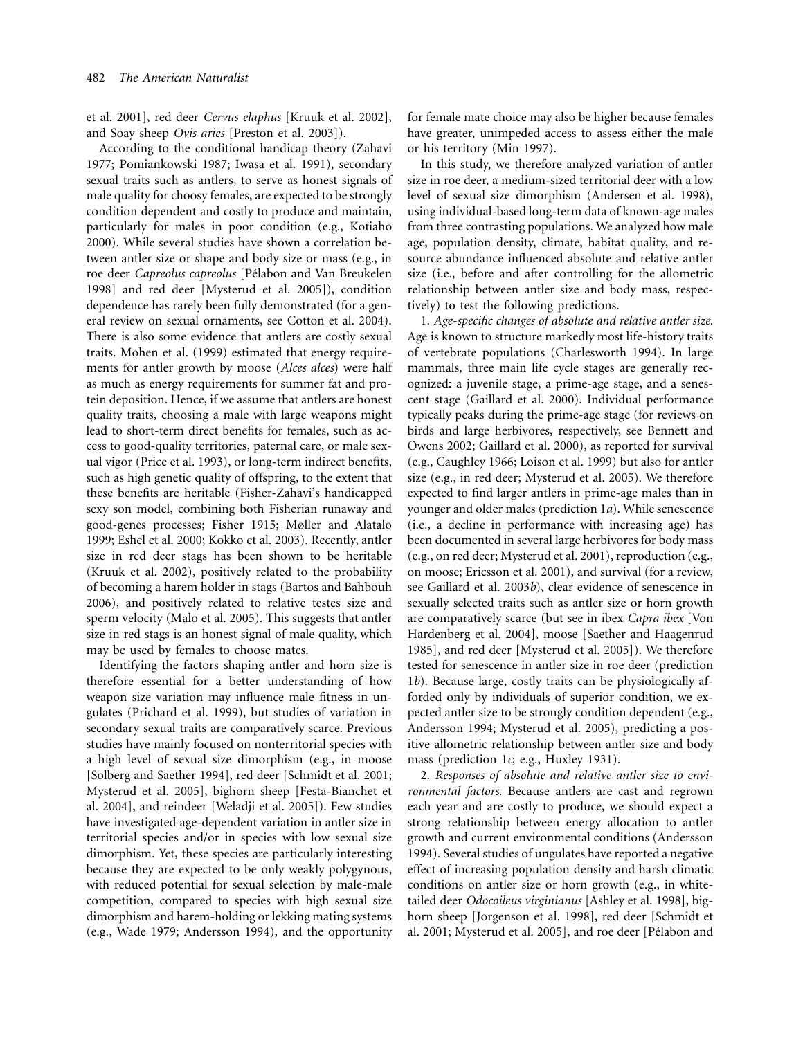et al. 2001], red deer *Cervus elaphus* [Kruuk et al. 2002], and Soay sheep *Ovis aries* [Preston et al. 2003]).

According to the conditional handicap theory (Zahavi 1977; Pomiankowski 1987; Iwasa et al. 1991), secondary sexual traits such as antlers, to serve as honest signals of male quality for choosy females, are expected to be strongly condition dependent and costly to produce and maintain, particularly for males in poor condition (e.g., Kotiaho 2000). While several studies have shown a correlation between antler size or shape and body size or mass (e.g., in roe deer *Capreolus capreolus* [Pélabon and Van Breukelen 1998] and red deer [Mysterud et al. 2005]), condition dependence has rarely been fully demonstrated (for a general review on sexual ornaments, see Cotton et al. 2004). There is also some evidence that antlers are costly sexual traits. Mohen et al. (1999) estimated that energy requirements for antler growth by moose (*Alces alces*) were half as much as energy requirements for summer fat and protein deposition. Hence, if we assume that antlers are honest quality traits, choosing a male with large weapons might lead to short-term direct benefits for females, such as access to good-quality territories, paternal care, or male sexual vigor (Price et al. 1993), or long-term indirect benefits, such as high genetic quality of offspring, to the extent that these benefits are heritable (Fisher-Zahavi's handicapped sexy son model, combining both Fisherian runaway and good-genes processes; Fisher 1915; Møller and Alatalo 1999; Eshel et al. 2000; Kokko et al. 2003). Recently, antler size in red deer stags has been shown to be heritable (Kruuk et al. 2002), positively related to the probability of becoming a harem holder in stags (Bartos and Bahbouh 2006), and positively related to relative testes size and sperm velocity (Malo et al. 2005). This suggests that antler size in red stags is an honest signal of male quality, which may be used by females to choose mates.

Identifying the factors shaping antler and horn size is therefore essential for a better understanding of how weapon size variation may influence male fitness in ungulates (Prichard et al. 1999), but studies of variation in secondary sexual traits are comparatively scarce. Previous studies have mainly focused on nonterritorial species with a high level of sexual size dimorphism (e.g., in moose [Solberg and Saether 1994], red deer [Schmidt et al. 2001; Mysterud et al. 2005], bighorn sheep [Festa-Bianchet et al. 2004], and reindeer [Weladji et al. 2005]). Few studies have investigated age-dependent variation in antler size in territorial species and/or in species with low sexual size dimorphism. Yet, these species are particularly interesting because they are expected to be only weakly polygynous, with reduced potential for sexual selection by male-male competition, compared to species with high sexual size dimorphism and harem-holding or lekking mating systems (e.g., Wade 1979; Andersson 1994), and the opportunity

for female mate choice may also be higher because females have greater, unimpeded access to assess either the male or his territory (Min 1997).

In this study, we therefore analyzed variation of antler size in roe deer, a medium-sized territorial deer with a low level of sexual size dimorphism (Andersen et al. 1998), using individual-based long-term data of known-age males from three contrasting populations. We analyzed how male age, population density, climate, habitat quality, and resource abundance influenced absolute and relative antler size (i.e., before and after controlling for the allometric relationship between antler size and body mass, respectively) to test the following predictions.

1. *Age-specific changes of absolute and relative antler size*. Age is known to structure markedly most life-history traits of vertebrate populations (Charlesworth 1994). In large mammals, three main life cycle stages are generally recognized: a juvenile stage, a prime-age stage, and a senescent stage (Gaillard et al. 2000). Individual performance typically peaks during the prime-age stage (for reviews on birds and large herbivores, respectively, see Bennett and Owens 2002; Gaillard et al. 2000), as reported for survival (e.g., Caughley 1966; Loison et al. 1999) but also for antler size (e.g., in red deer; Mysterud et al. 2005). We therefore expected to find larger antlers in prime-age males than in younger and older males (prediction 1*a*). While senescence (i.e., a decline in performance with increasing age) has been documented in several large herbivores for body mass (e.g., on red deer; Mysterud et al. 2001), reproduction (e.g., on moose; Ericsson et al. 2001), and survival (for a review, see Gaillard et al. 2003*b*), clear evidence of senescence in sexually selected traits such as antler size or horn growth are comparatively scarce (but see in ibex *Capra ibex* [Von Hardenberg et al. 2004], moose [Saether and Haagenrud 1985], and red deer [Mysterud et al. 2005]). We therefore tested for senescence in antler size in roe deer (prediction 1*b*). Because large, costly traits can be physiologically afforded only by individuals of superior condition, we expected antler size to be strongly condition dependent (e.g., Andersson 1994; Mysterud et al. 2005), predicting a positive allometric relationship between antler size and body mass (prediction 1*c*; e.g., Huxley 1931).

2. *Responses of absolute and relative antler size to environmental factors*. Because antlers are cast and regrown each year and are costly to produce, we should expect a strong relationship between energy allocation to antler growth and current environmental conditions (Andersson 1994). Several studies of ungulates have reported a negative effect of increasing population density and harsh climatic conditions on antler size or horn growth (e.g., in whitetailed deer *Odocoileus virginianus* [Ashley et al. 1998], bighorn sheep [Jorgenson et al. 1998], red deer [Schmidt et al. 2001; Mysterud et al. 2005], and roe deer [Pélabon and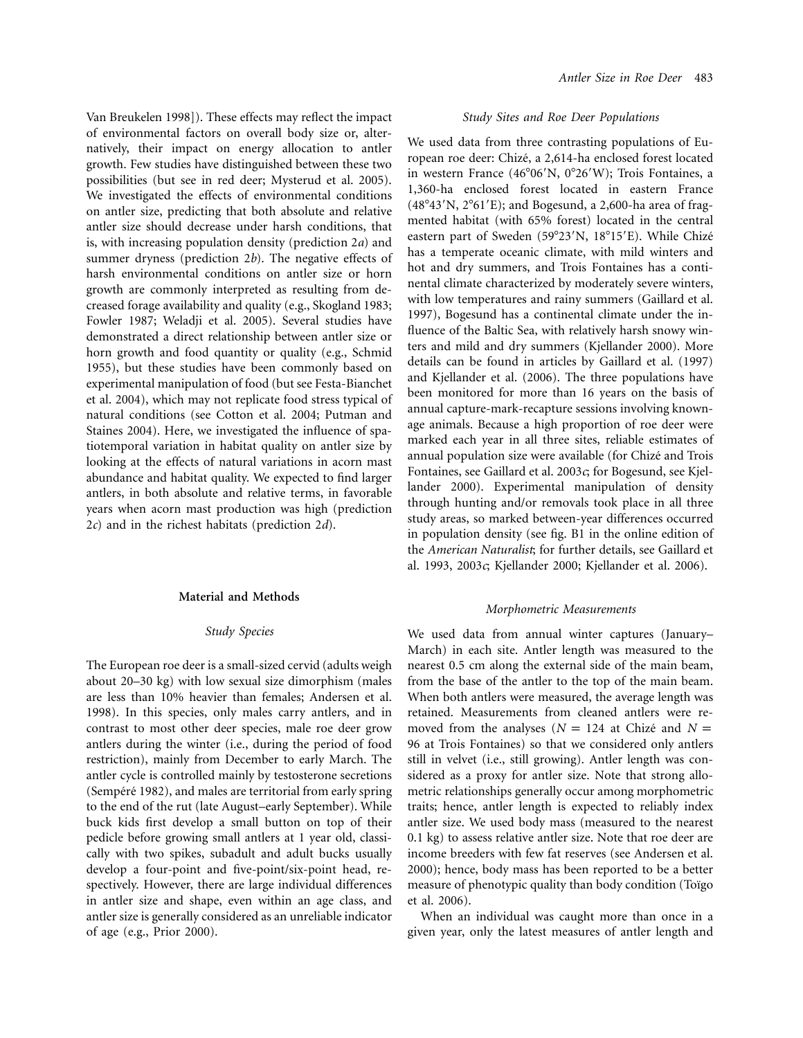Van Breukelen 1998]). These effects may reflect the impact of environmental factors on overall body size or, alternatively, their impact on energy allocation to antler growth. Few studies have distinguished between these two possibilities (but see in red deer; Mysterud et al. 2005). We investigated the effects of environmental conditions on antler size, predicting that both absolute and relative antler size should decrease under harsh conditions, that is, with increasing population density (prediction 2*a*) and summer dryness (prediction 2*b*). The negative effects of harsh environmental conditions on antler size or horn growth are commonly interpreted as resulting from decreased forage availability and quality (e.g., Skogland 1983; Fowler 1987; Weladji et al. 2005). Several studies have demonstrated a direct relationship between antler size or horn growth and food quantity or quality (e.g., Schmid 1955), but these studies have been commonly based on experimental manipulation of food (but see Festa-Bianchet et al. 2004), which may not replicate food stress typical of natural conditions (see Cotton et al. 2004; Putman and Staines 2004). Here, we investigated the influence of spatiotemporal variation in habitat quality on antler size by looking at the effects of natural variations in acorn mast abundance and habitat quality. We expected to find larger antlers, in both absolute and relative terms, in favorable years when acorn mast production was high (prediction 2*c*) and in the richest habitats (prediction 2*d*).

# **Material and Methods**

#### *Study Species*

The European roe deer is a small-sized cervid (adults weigh about 20–30 kg) with low sexual size dimorphism (males are less than 10% heavier than females; Andersen et al. 1998). In this species, only males carry antlers, and in contrast to most other deer species, male roe deer grow antlers during the winter (i.e., during the period of food restriction), mainly from December to early March. The antler cycle is controlled mainly by testosterone secretions (Sempéré 1982), and males are territorial from early spring to the end of the rut (late August–early September). While buck kids first develop a small button on top of their pedicle before growing small antlers at 1 year old, classically with two spikes, subadult and adult bucks usually develop a four-point and five-point/six-point head, respectively. However, there are large individual differences in antler size and shape, even within an age class, and antler size is generally considered as an unreliable indicator of age (e.g., Prior 2000).

## *Study Sites and Roe Deer Populations*

We used data from three contrasting populations of European roe deer: Chizé, a 2,614-ha enclosed forest located in western France (46°06'N, 0°26'W); Trois Fontaines, a 1,360-ha enclosed forest located in eastern France (48°43'N, 2°61'E); and Bogesund, a 2,600-ha area of fragmented habitat (with 65% forest) located in the central eastern part of Sweden (59°23'N, 18°15'E). While Chizé has a temperate oceanic climate, with mild winters and hot and dry summers, and Trois Fontaines has a continental climate characterized by moderately severe winters, with low temperatures and rainy summers (Gaillard et al. 1997), Bogesund has a continental climate under the influence of the Baltic Sea, with relatively harsh snowy winters and mild and dry summers (Kjellander 2000). More details can be found in articles by Gaillard et al. (1997) and Kjellander et al. (2006). The three populations have been monitored for more than 16 years on the basis of annual capture-mark-recapture sessions involving knownage animals. Because a high proportion of roe deer were marked each year in all three sites, reliable estimates of annual population size were available (for Chize´ and Trois Fontaines, see Gaillard et al. 2003*c*; for Bogesund, see Kjellander 2000). Experimental manipulation of density through hunting and/or removals took place in all three study areas, so marked between-year differences occurred in population density (see fig. B1 in the online edition of the *American Naturalist*; for further details, see Gaillard et al. 1993, 2003*c*; Kjellander 2000; Kjellander et al. 2006).

# *Morphometric Measurements*

We used data from annual winter captures (January– March) in each site. Antler length was measured to the nearest 0.5 cm along the external side of the main beam, from the base of the antler to the top of the main beam. When both antlers were measured, the average length was retained. Measurements from cleaned antlers were removed from the analyses ( $N = 124$  at Chizé and  $N =$ 96 at Trois Fontaines) so that we considered only antlers still in velvet (i.e., still growing). Antler length was considered as a proxy for antler size. Note that strong allometric relationships generally occur among morphometric traits; hence, antler length is expected to reliably index antler size. We used body mass (measured to the nearest 0.1 kg) to assess relative antler size. Note that roe deer are income breeders with few fat reserves (see Andersen et al. 2000); hence, body mass has been reported to be a better measure of phenotypic quality than body condition (Toïgo et al. 2006).

When an individual was caught more than once in a given year, only the latest measures of antler length and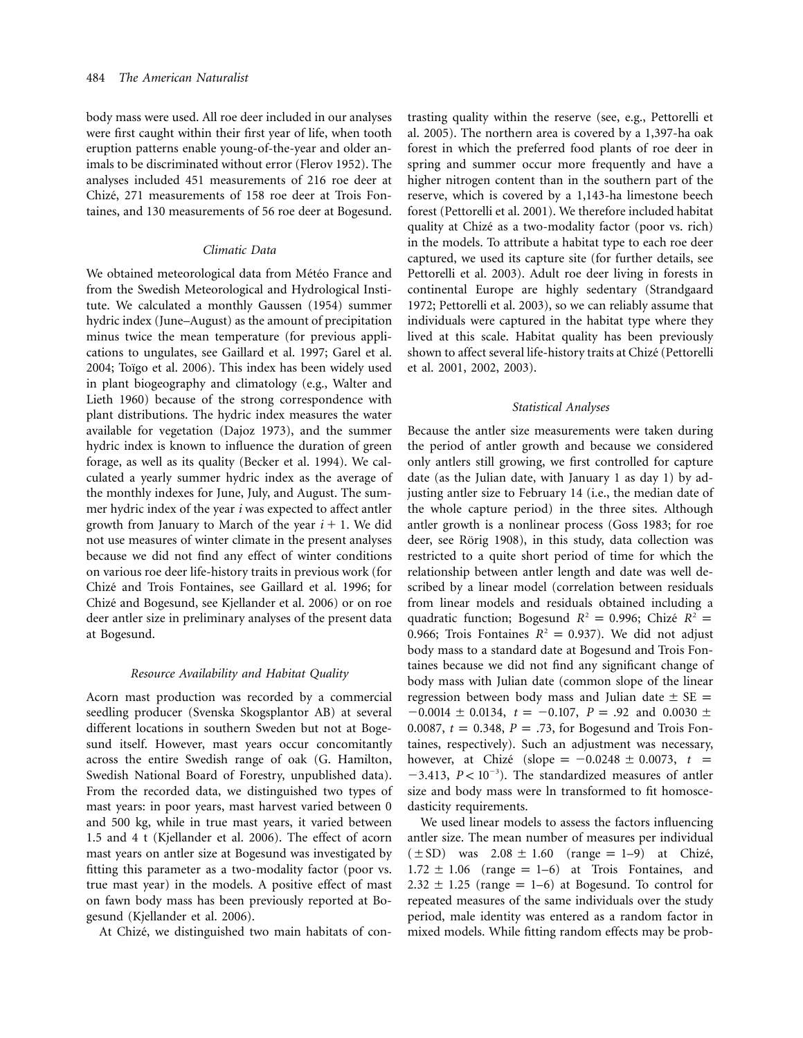body mass were used. All roe deer included in our analyses were first caught within their first year of life, when tooth eruption patterns enable young-of-the-year and older animals to be discriminated without error (Flerov 1952). The analyses included 451 measurements of 216 roe deer at Chizé, 271 measurements of 158 roe deer at Trois Fontaines, and 130 measurements of 56 roe deer at Bogesund.

## *Climatic Data*

We obtained meteorological data from Météo France and from the Swedish Meteorological and Hydrological Institute. We calculated a monthly Gaussen (1954) summer hydric index (June–August) as the amount of precipitation minus twice the mean temperature (for previous applications to ungulates, see Gaillard et al. 1997; Garel et al. 2004; Toïgo et al. 2006). This index has been widely used in plant biogeography and climatology (e.g., Walter and Lieth 1960) because of the strong correspondence with plant distributions. The hydric index measures the water available for vegetation (Dajoz 1973), and the summer hydric index is known to influence the duration of green forage, as well as its quality (Becker et al. 1994). We calculated a yearly summer hydric index as the average of the monthly indexes for June, July, and August. The summer hydric index of the year *i* was expected to affect antler growth from January to March of the year  $i + 1$ . We did not use measures of winter climate in the present analyses because we did not find any effect of winter conditions on various roe deer life-history traits in previous work (for Chize´ and Trois Fontaines, see Gaillard et al. 1996; for Chize´ and Bogesund, see Kjellander et al. 2006) or on roe deer antler size in preliminary analyses of the present data at Bogesund.

#### *Resource Availability and Habitat Quality*

Acorn mast production was recorded by a commercial seedling producer (Svenska Skogsplantor AB) at several different locations in southern Sweden but not at Bogesund itself. However, mast years occur concomitantly across the entire Swedish range of oak (G. Hamilton, Swedish National Board of Forestry, unpublished data). From the recorded data, we distinguished two types of mast years: in poor years, mast harvest varied between 0 and 500 kg, while in true mast years, it varied between 1.5 and 4 t (Kjellander et al. 2006). The effect of acorn mast years on antler size at Bogesund was investigated by fitting this parameter as a two-modality factor (poor vs. true mast year) in the models. A positive effect of mast on fawn body mass has been previously reported at Bogesund (Kjellander et al. 2006).

At Chizé, we distinguished two main habitats of con-

trasting quality within the reserve (see, e.g., Pettorelli et al. 2005). The northern area is covered by a 1,397-ha oak forest in which the preferred food plants of roe deer in spring and summer occur more frequently and have a higher nitrogen content than in the southern part of the reserve, which is covered by a 1,143-ha limestone beech forest (Pettorelli et al. 2001). We therefore included habitat quality at Chizé as a two-modality factor (poor vs. rich) in the models. To attribute a habitat type to each roe deer captured, we used its capture site (for further details, see Pettorelli et al. 2003). Adult roe deer living in forests in continental Europe are highly sedentary (Strandgaard 1972; Pettorelli et al. 2003), so we can reliably assume that individuals were captured in the habitat type where they lived at this scale. Habitat quality has been previously shown to affect several life-history traits at Chizé (Pettorelli et al. 2001, 2002, 2003).

#### *Statistical Analyses*

Because the antler size measurements were taken during the period of antler growth and because we considered only antlers still growing, we first controlled for capture date (as the Julian date, with January 1 as day 1) by adjusting antler size to February 14 (i.e., the median date of the whole capture period) in the three sites. Although antler growth is a nonlinear process (Goss 1983; for roe deer, see Rörig 1908), in this study, data collection was restricted to a quite short period of time for which the relationship between antler length and date was well described by a linear model (correlation between residuals from linear models and residuals obtained including a quadratic function; Bogesund  $R^2 = 0.996$ ; Chizé  $R^2 =$ 0.966; Trois Fontaines  $R^2 = 0.937$ ). We did not adjust body mass to a standard date at Bogesund and Trois Fontaines because we did not find any significant change of body mass with Julian date (common slope of the linear regression between body mass and Julian date  $\pm$  SE =  $-0.0014 \pm 0.0134$ ,  $t = -0.107$ ,  $P = .92$  and  $0.0030 \pm 0.0030$ 0.0087,  $t = 0.348$ ,  $P = .73$ , for Bogesund and Trois Fontaines, respectively). Such an adjustment was necessary, however, at Chizé (slope =  $-0.0248 \pm 0.0073$ ,  $t =$  $-3.413$ ,  $P < 10^{-3}$ ). The standardized measures of antler size and body mass were ln transformed to fit homoscedasticity requirements.

We used linear models to assess the factors influencing antler size. The mean number of measures per individual  $(\pm SD)$  was  $2.08 \pm 1.60$  (range = 1–9) at Chizé,  $1.72 \pm 1.06$  (range = 1–6) at Trois Fontaines, and  $2.32 \pm 1.25$  (range = 1–6) at Bogesund. To control for repeated measures of the same individuals over the study period, male identity was entered as a random factor in mixed models. While fitting random effects may be prob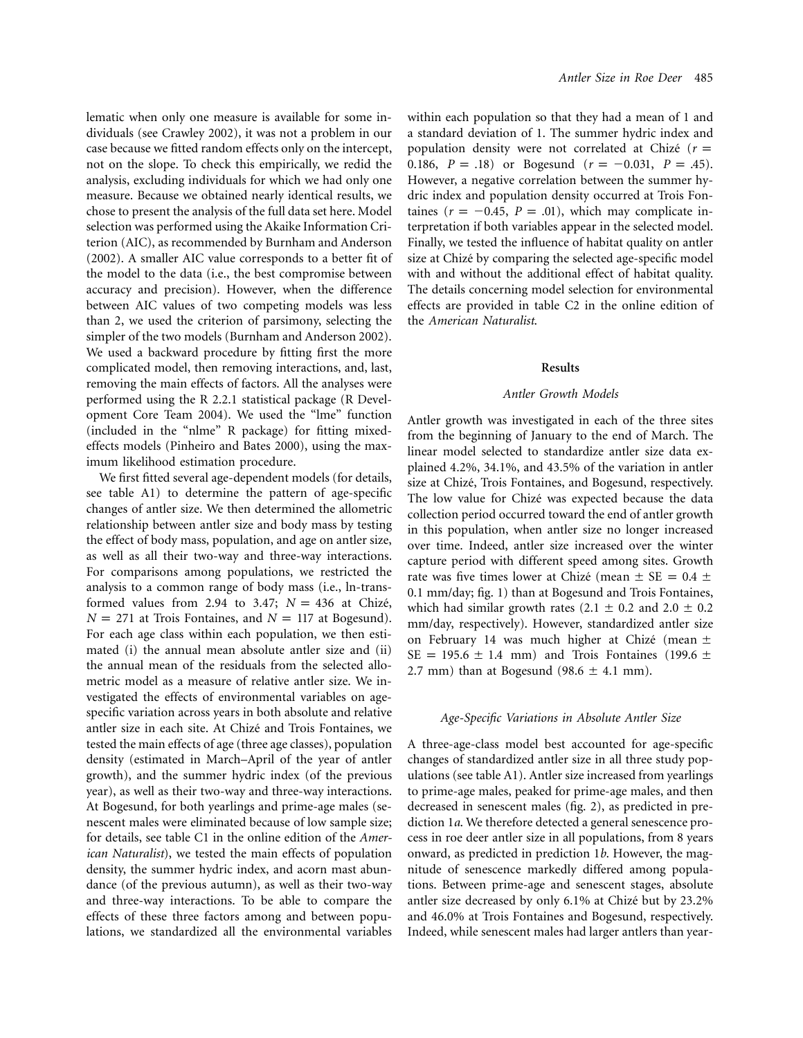lematic when only one measure is available for some individuals (see Crawley 2002), it was not a problem in our case because we fitted random effects only on the intercept, not on the slope. To check this empirically, we redid the analysis, excluding individuals for which we had only one measure. Because we obtained nearly identical results, we chose to present the analysis of the full data set here. Model selection was performed using the Akaike Information Criterion (AIC), as recommended by Burnham and Anderson (2002). A smaller AIC value corresponds to a better fit of the model to the data (i.e., the best compromise between accuracy and precision). However, when the difference between AIC values of two competing models was less than 2, we used the criterion of parsimony, selecting the simpler of the two models (Burnham and Anderson 2002). We used a backward procedure by fitting first the more complicated model, then removing interactions, and, last, removing the main effects of factors. All the analyses were performed using the R 2.2.1 statistical package (R Development Core Team 2004). We used the "lme" function (included in the "nlme" R package) for fitting mixedeffects models (Pinheiro and Bates 2000), using the maximum likelihood estimation procedure.

We first fitted several age-dependent models (for details, see table A1) to determine the pattern of age-specific changes of antler size. We then determined the allometric relationship between antler size and body mass by testing the effect of body mass, population, and age on antler size, as well as all their two-way and three-way interactions. For comparisons among populations, we restricted the analysis to a common range of body mass (i.e., ln-transformed values from 2.94 to 3.47;  $N = 436$  at Chizé,  $N = 271$  at Trois Fontaines, and  $N = 117$  at Bogesund). For each age class within each population, we then estimated (i) the annual mean absolute antler size and (ii) the annual mean of the residuals from the selected allometric model as a measure of relative antler size. We investigated the effects of environmental variables on agespecific variation across years in both absolute and relative antler size in each site. At Chizé and Trois Fontaines, we tested the main effects of age (three age classes), population density (estimated in March–April of the year of antler growth), and the summer hydric index (of the previous year), as well as their two-way and three-way interactions. At Bogesund, for both yearlings and prime-age males (senescent males were eliminated because of low sample size; for details, see table C1 in the online edition of the *American Naturalist*), we tested the main effects of population density, the summer hydric index, and acorn mast abundance (of the previous autumn), as well as their two-way and three-way interactions. To be able to compare the effects of these three factors among and between populations, we standardized all the environmental variables

within each population so that they had a mean of 1 and a standard deviation of 1. The summer hydric index and population density were not correlated at Chizé  $(r =$ 0.186,  $P = .18$  or Bogesund ( $r = -0.031$ ,  $P = .45$ ). However, a negative correlation between the summer hydric index and population density occurred at Trois Fontaines  $(r = -0.45, P = .01)$ , which may complicate interpretation if both variables appear in the selected model. Finally, we tested the influence of habitat quality on antler size at Chizé by comparing the selected age-specific model with and without the additional effect of habitat quality. The details concerning model selection for environmental effects are provided in table C2 in the online edition of the *American Naturalist*.

#### **Results**

#### *Antler Growth Models*

Antler growth was investigated in each of the three sites from the beginning of January to the end of March. The linear model selected to standardize antler size data explained 4.2%, 34.1%, and 43.5% of the variation in antler size at Chizé, Trois Fontaines, and Bogesund, respectively. The low value for Chizé was expected because the data collection period occurred toward the end of antler growth in this population, when antler size no longer increased over time. Indeed, antler size increased over the winter capture period with different speed among sites. Growth rate was five times lower at Chizé (mean  $\pm$  SE = 0.4  $\pm$ 0.1 mm/day; fig. 1) than at Bogesund and Trois Fontaines, which had similar growth rates  $(2.1 \pm 0.2 \text{ and } 2.0 \pm 0.2 \text{)}$ mm/day, respectively). However, standardized antler size on February 14 was much higher at Chizé (mean  $\pm$  $SE = 195.6 \pm 1.4$  mm) and Trois Fontaines (199.6  $\pm$ 2.7 mm) than at Bogesund ( $98.6 \pm 4.1$  mm).

#### *Age-Specific Variations in Absolute Antler Size*

A three-age-class model best accounted for age-specific changes of standardized antler size in all three study populations (see table A1). Antler size increased from yearlings to prime-age males, peaked for prime-age males, and then decreased in senescent males (fig. 2), as predicted in prediction 1*a*. We therefore detected a general senescence process in roe deer antler size in all populations, from 8 years onward, as predicted in prediction 1*b*. However, the magnitude of senescence markedly differed among populations. Between prime-age and senescent stages, absolute antler size decreased by only 6.1% at Chize´ but by 23.2% and 46.0% at Trois Fontaines and Bogesund, respectively. Indeed, while senescent males had larger antlers than year-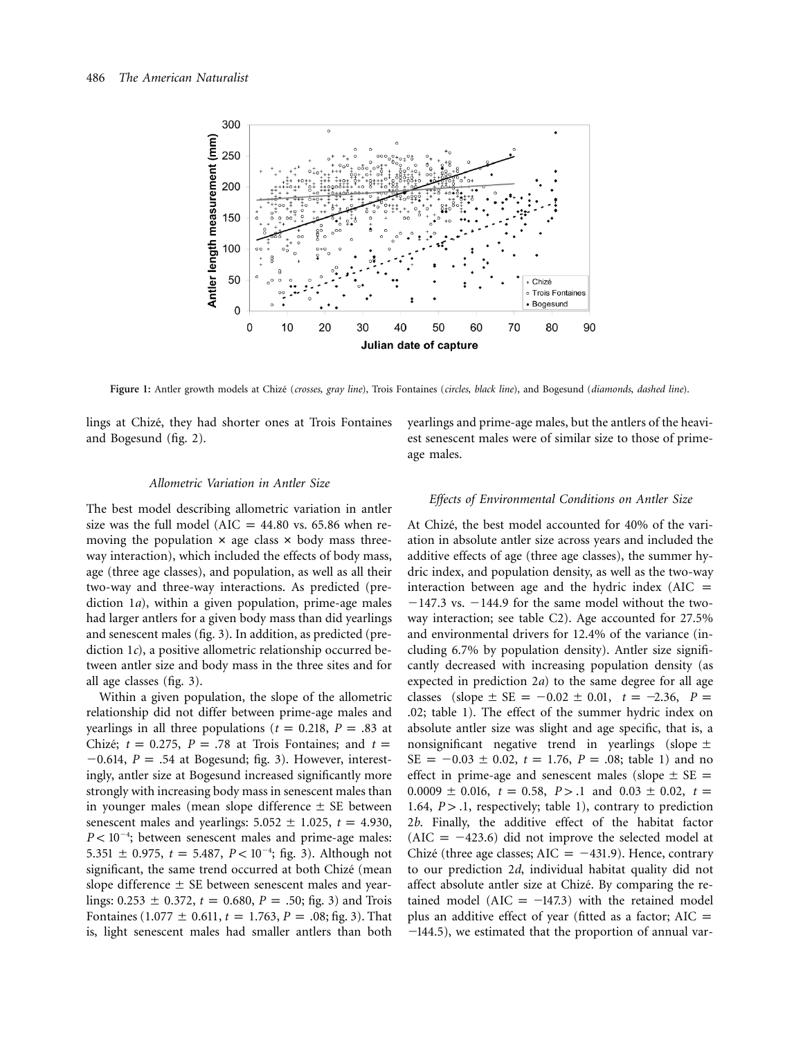

**Figure 1:** Antler growth models at Chize´ (*crosses*, *gray line*), Trois Fontaines (*circles*, *black line*), and Bogesund (*diamonds*, *dashed line*).

lings at Chizé, they had shorter ones at Trois Fontaines and Bogesund (fig. 2).

yearlings and prime-age males, but the antlers of the heaviest senescent males were of similar size to those of primeage males.

#### *Allometric Variation in Antler Size*

The best model describing allometric variation in antler size was the full model ( $AIC = 44.80$  vs. 65.86 when removing the population  $\times$  age class  $\times$  body mass threeway interaction), which included the effects of body mass, age (three age classes), and population, as well as all their two-way and three-way interactions. As predicted (prediction 1*a*), within a given population, prime-age males had larger antlers for a given body mass than did yearlings and senescent males (fig. 3). In addition, as predicted (prediction 1*c*), a positive allometric relationship occurred between antler size and body mass in the three sites and for all age classes (fig. 3).

Within a given population, the slope of the allometric relationship did not differ between prime-age males and yearlings in all three populations ( $t = 0.218$ ,  $P = .83$  at Chizé;  $t = 0.275$ ,  $P = .78$  at Trois Fontaines; and  $t =$  $-0.614$ ,  $P = .54$  at Bogesund; fig. 3). However, interestingly, antler size at Bogesund increased significantly more strongly with increasing body mass in senescent males than in younger males (mean slope difference  $\pm$  SE between senescent males and yearlings:  $5.052 \pm 1.025$ ,  $t = 4.930$ ,  $P < 10^{-4}$ ; between senescent males and prime-age males: 5.351  $\pm$  0.975,  $t = 5.487$ ,  $P < 10^{-4}$ ; fig. 3). Although not significant, the same trend occurred at both Chizé (mean slope difference  $\pm$  SE between senescent males and yearlings:  $0.253 \pm 0.372$ ,  $t = 0.680$ ,  $P = .50$ ; fig. 3) and Trois Fontaines  $(1.077 \pm 0.611, t = 1.763, P = .08; fig. 3)$ . That is, light senescent males had smaller antlers than both

# *Effects of Environmental Conditions on Antler Size*

At Chizé, the best model accounted for 40% of the variation in absolute antler size across years and included the additive effects of age (three age classes), the summer hydric index, and population density, as well as the two-way interaction between age and the hydric index  $(AIC =$  $-147.3$  vs.  $-144.9$  for the same model without the twoway interaction; see table C2). Age accounted for 27.5% and environmental drivers for 12.4% of the variance (including 6.7% by population density). Antler size significantly decreased with increasing population density (as expected in prediction 2*a*) to the same degree for all age classes (slope  $\pm$  SE = -0.02  $\pm$  0.01,  $t = -2.36$ ,  $P =$ .02; table 1). The effect of the summer hydric index on absolute antler size was slight and age specific, that is, a nonsignificant negative trend in yearlings (slope  $\pm$  $SE = -0.03 \pm 0.02$ ,  $t = 1.76$ ,  $P = .08$ ; table 1) and no effect in prime-age and senescent males (slope  $\pm$  SE =  $0.0009 \pm 0.016$ ,  $t = 0.58$ ,  $P > 0.1$  and  $0.03 \pm 0.02$ ,  $t =$ 1.64,  $P > 1$ , respectively; table 1), contrary to prediction 2*b*. Finally, the additive effect of the habitat factor  $( AIC = -423.6 )$  did not improve the selected model at Chizé (three age classes;  $AIC = -431.9$ ). Hence, contrary to our prediction 2*d*, individual habitat quality did not affect absolute antler size at Chizé. By comparing the retained model ( $AIC = -147.3$ ) with the retained model plus an additive effect of year (fitted as a factor;  $AIC =$ -144.5), we estimated that the proportion of annual var-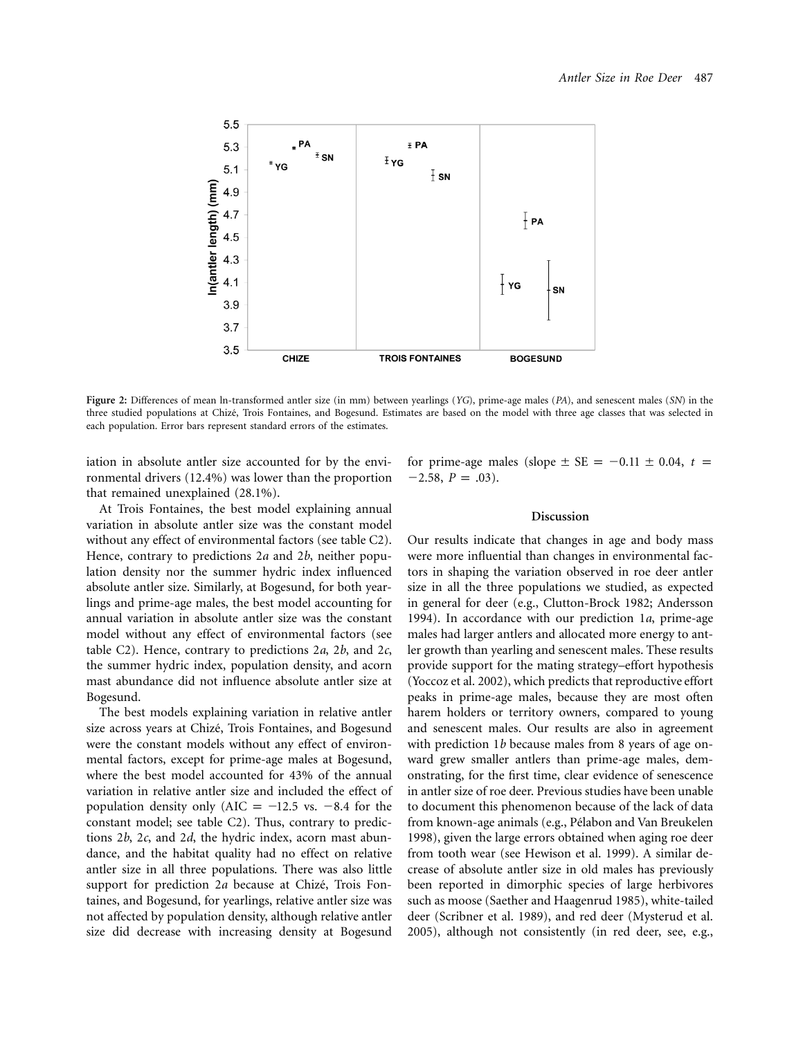

**Figure 2:** Differences of mean ln-transformed antler size (in mm) between yearlings (*YG*), prime-age males (*PA*), and senescent males (*SN*) in the three studied populations at Chizé, Trois Fontaines, and Bogesund. Estimates are based on the model with three age classes that was selected in each population. Error bars represent standard errors of the estimates.

iation in absolute antler size accounted for by the environmental drivers (12.4%) was lower than the proportion that remained unexplained (28.1%).

At Trois Fontaines, the best model explaining annual variation in absolute antler size was the constant model without any effect of environmental factors (see table C2). Hence, contrary to predictions 2*a* and 2*b*, neither population density nor the summer hydric index influenced absolute antler size. Similarly, at Bogesund, for both yearlings and prime-age males, the best model accounting for annual variation in absolute antler size was the constant model without any effect of environmental factors (see table C2). Hence, contrary to predictions 2*a*, 2*b*, and 2*c*, the summer hydric index, population density, and acorn mast abundance did not influence absolute antler size at Bogesund.

The best models explaining variation in relative antler size across years at Chizé, Trois Fontaines, and Bogesund were the constant models without any effect of environmental factors, except for prime-age males at Bogesund, where the best model accounted for 43% of the annual variation in relative antler size and included the effect of population density only (AIC =  $-12.5$  vs.  $-8.4$  for the constant model; see table C2). Thus, contrary to predictions 2*b*, 2*c*, and 2*d*, the hydric index, acorn mast abundance, and the habitat quality had no effect on relative antler size in all three populations. There was also little support for prediction 2*a* because at Chizé, Trois Fontaines, and Bogesund, for yearlings, relative antler size was not affected by population density, although relative antler size did decrease with increasing density at Bogesund for prime-age males (slope  $\pm$  SE = -0.11  $\pm$  0.04, t =  $-2.58, P = .03$ ).

#### **Discussion**

Our results indicate that changes in age and body mass were more influential than changes in environmental factors in shaping the variation observed in roe deer antler size in all the three populations we studied, as expected in general for deer (e.g., Clutton-Brock 1982; Andersson 1994). In accordance with our prediction 1*a*, prime-age males had larger antlers and allocated more energy to antler growth than yearling and senescent males. These results provide support for the mating strategy–effort hypothesis (Yoccoz et al. 2002), which predicts that reproductive effort peaks in prime-age males, because they are most often harem holders or territory owners, compared to young and senescent males. Our results are also in agreement with prediction 1*b* because males from 8 years of age onward grew smaller antlers than prime-age males, demonstrating, for the first time, clear evidence of senescence in antler size of roe deer. Previous studies have been unable to document this phenomenon because of the lack of data from known-age animals (e.g., Pélabon and Van Breukelen 1998), given the large errors obtained when aging roe deer from tooth wear (see Hewison et al. 1999). A similar decrease of absolute antler size in old males has previously been reported in dimorphic species of large herbivores such as moose (Saether and Haagenrud 1985), white-tailed deer (Scribner et al. 1989), and red deer (Mysterud et al. 2005), although not consistently (in red deer, see, e.g.,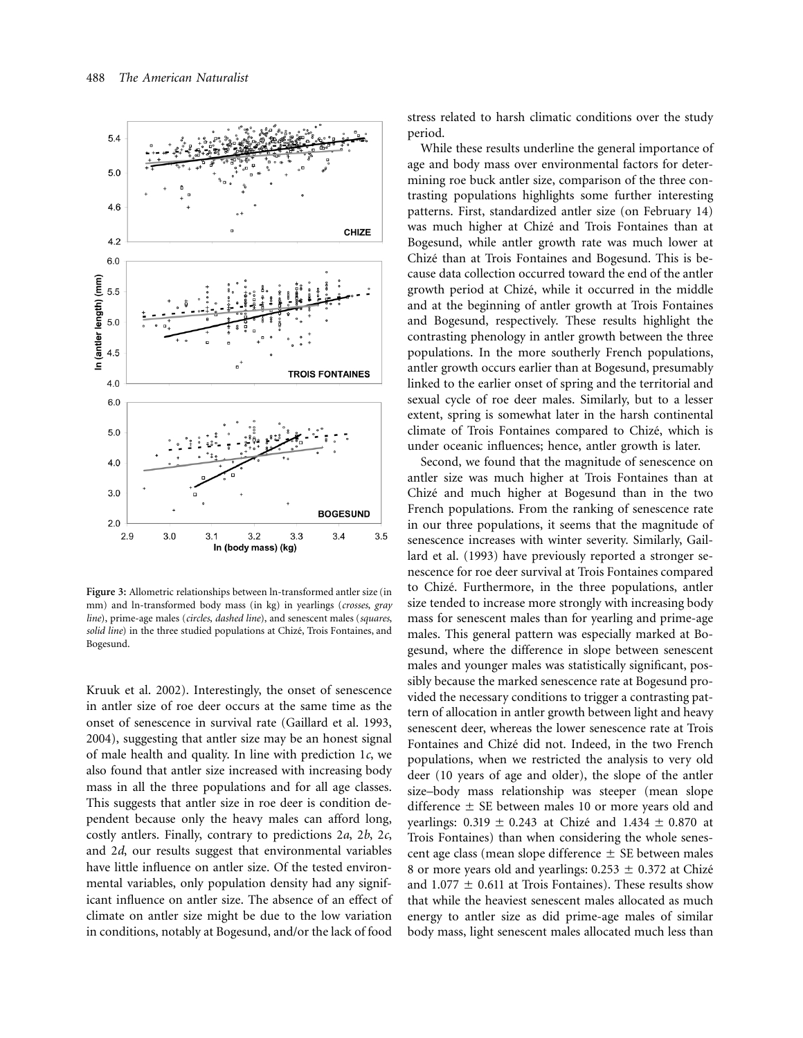

**Figure 3:** Allometric relationships between ln-transformed antler size (in mm) and ln-transformed body mass (in kg) in yearlings (*crosses*, *gray line*), prime-age males (*circles*, *dashed line*), and senescent males (*squares*, solid line) in the three studied populations at Chizé, Trois Fontaines, and Bogesund.

Kruuk et al. 2002). Interestingly, the onset of senescence in antler size of roe deer occurs at the same time as the onset of senescence in survival rate (Gaillard et al. 1993, 2004), suggesting that antler size may be an honest signal of male health and quality. In line with prediction 1*c*, we also found that antler size increased with increasing body mass in all the three populations and for all age classes. This suggests that antler size in roe deer is condition dependent because only the heavy males can afford long, costly antlers. Finally, contrary to predictions 2*a*, 2*b*, 2*c*, and 2*d*, our results suggest that environmental variables have little influence on antler size. Of the tested environmental variables, only population density had any significant influence on antler size. The absence of an effect of climate on antler size might be due to the low variation in conditions, notably at Bogesund, and/or the lack of food stress related to harsh climatic conditions over the study period.

While these results underline the general importance of age and body mass over environmental factors for determining roe buck antler size, comparison of the three contrasting populations highlights some further interesting patterns. First, standardized antler size (on February 14) was much higher at Chizé and Trois Fontaines than at Bogesund, while antler growth rate was much lower at Chize´ than at Trois Fontaines and Bogesund. This is because data collection occurred toward the end of the antler growth period at Chizé, while it occurred in the middle and at the beginning of antler growth at Trois Fontaines and Bogesund, respectively. These results highlight the contrasting phenology in antler growth between the three populations. In the more southerly French populations, antler growth occurs earlier than at Bogesund, presumably linked to the earlier onset of spring and the territorial and sexual cycle of roe deer males. Similarly, but to a lesser extent, spring is somewhat later in the harsh continental climate of Trois Fontaines compared to Chizé, which is under oceanic influences; hence, antler growth is later.

Second, we found that the magnitude of senescence on antler size was much higher at Trois Fontaines than at Chize´ and much higher at Bogesund than in the two French populations. From the ranking of senescence rate in our three populations, it seems that the magnitude of senescence increases with winter severity. Similarly, Gaillard et al. (1993) have previously reported a stronger senescence for roe deer survival at Trois Fontaines compared to Chize´. Furthermore, in the three populations, antler size tended to increase more strongly with increasing body mass for senescent males than for yearling and prime-age males. This general pattern was especially marked at Bogesund, where the difference in slope between senescent males and younger males was statistically significant, possibly because the marked senescence rate at Bogesund provided the necessary conditions to trigger a contrasting pattern of allocation in antler growth between light and heavy senescent deer, whereas the lower senescence rate at Trois Fontaines and Chizé did not. Indeed, in the two French populations, when we restricted the analysis to very old deer (10 years of age and older), the slope of the antler size–body mass relationship was steeper (mean slope difference  $\pm$  SE between males 10 or more years old and yearlings:  $0.319 \pm 0.243$  at Chizé and  $1.434 \pm 0.870$  at Trois Fontaines) than when considering the whole senescent age class (mean slope difference  $\pm$  SE between males 8 or more years old and yearlings:  $0.253 \pm 0.372$  at Chizé and 1.077  $\pm$  0.611 at Trois Fontaines). These results show that while the heaviest senescent males allocated as much energy to antler size as did prime-age males of similar body mass, light senescent males allocated much less than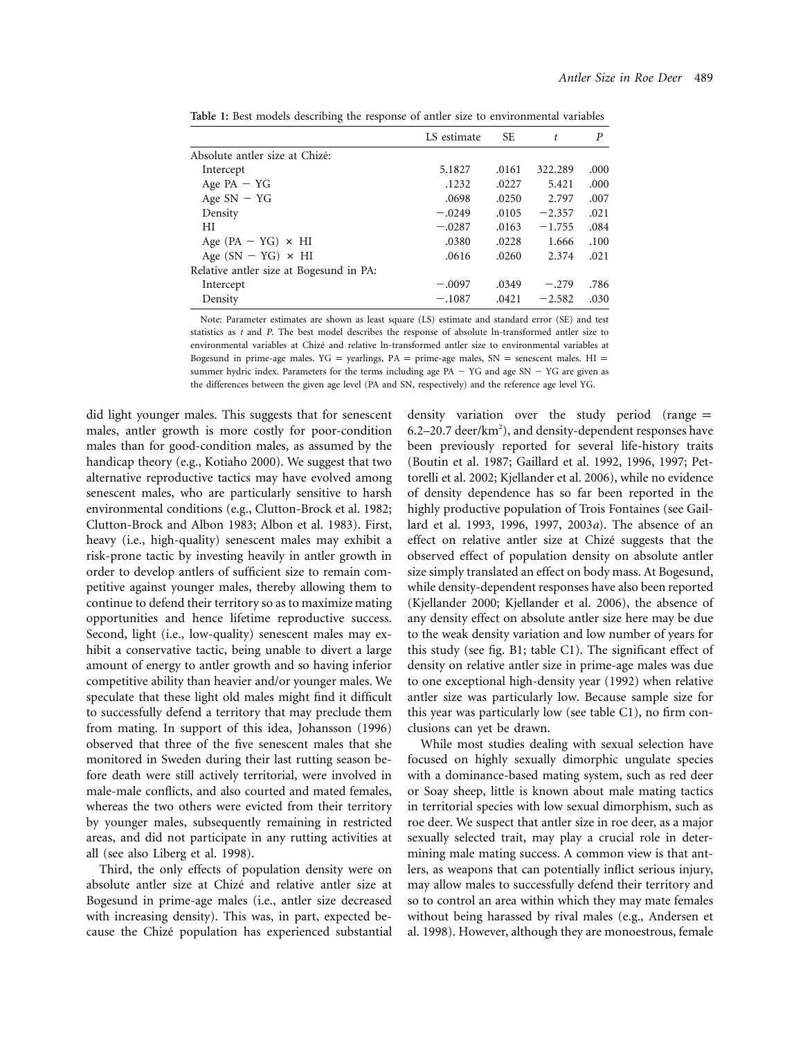| LS estimate | SE.   | t        | P    |
|-------------|-------|----------|------|
|             |       |          |      |
| 5.1827      | .0161 | 322.289  | .000 |
| .1232       | .0227 | 5.421    | .000 |
| .0698       | .0250 | 2.797    | .007 |
| $-.0249$    | .0105 | $-2.357$ | .021 |
| $-.0287$    | .0163 | $-1.755$ | .084 |
| .0380       | .0228 | 1.666    | .100 |
| .0616       | .0260 | 2.374    | .021 |
|             |       |          |      |
| $-.0097$    | .0349 | $-.279$  | .786 |
| $-.1087$    | .0421 | $-2.582$ | .030 |
|             |       |          |      |

**Table 1:** Best models describing the response of antler size to environmental variables

Note: Parameter estimates are shown as least square (LS) estimate and standard error (SE) and test statistics as *t* and *P*. The best model describes the response of absolute ln-transformed antler size to environmental variables at Chizé and relative ln-transformed antler size to environmental variables at Bogesund in prime-age males.  $YG = \text{yearlings}$ ,  $PA = \text{prime-age}$  males,  $SN = \text{sensor}$  males.  $HI =$ summer hydric index. Parameters for the terms including age PA  $-$  YG and age SN  $-$  YG are given as the differences between the given age level (PA and SN, respectively) and the reference age level YG.

did light younger males. This suggests that for senescent males, antler growth is more costly for poor-condition males than for good-condition males, as assumed by the handicap theory (e.g., Kotiaho 2000). We suggest that two alternative reproductive tactics may have evolved among senescent males, who are particularly sensitive to harsh environmental conditions (e.g., Clutton-Brock et al. 1982; Clutton-Brock and Albon 1983; Albon et al. 1983). First, heavy (i.e., high-quality) senescent males may exhibit a risk-prone tactic by investing heavily in antler growth in order to develop antlers of sufficient size to remain competitive against younger males, thereby allowing them to continue to defend their territory so as to maximize mating opportunities and hence lifetime reproductive success. Second, light (i.e., low-quality) senescent males may exhibit a conservative tactic, being unable to divert a large amount of energy to antler growth and so having inferior competitive ability than heavier and/or younger males. We speculate that these light old males might find it difficult to successfully defend a territory that may preclude them from mating. In support of this idea, Johansson (1996) observed that three of the five senescent males that she monitored in Sweden during their last rutting season before death were still actively territorial, were involved in male-male conflicts, and also courted and mated females, whereas the two others were evicted from their territory by younger males, subsequently remaining in restricted areas, and did not participate in any rutting activities at all (see also Liberg et al. 1998).

Third, the only effects of population density were on absolute antler size at Chizé and relative antler size at Bogesund in prime-age males (i.e., antler size decreased with increasing density). This was, in part, expected because the Chize´ population has experienced substantial density variation over the study period (range  $=$  $6.2-20.7$  deer/km<sup>2</sup>), and density-dependent responses have been previously reported for several life-history traits (Boutin et al. 1987; Gaillard et al. 1992, 1996, 1997; Pettorelli et al. 2002; Kjellander et al. 2006), while no evidence of density dependence has so far been reported in the highly productive population of Trois Fontaines (see Gaillard et al. 1993, 1996, 1997, 2003*a*). The absence of an effect on relative antler size at Chize´ suggests that the observed effect of population density on absolute antler size simply translated an effect on body mass. At Bogesund, while density-dependent responses have also been reported (Kjellander 2000; Kjellander et al. 2006), the absence of any density effect on absolute antler size here may be due to the weak density variation and low number of years for this study (see fig. B1; table C1). The significant effect of density on relative antler size in prime-age males was due to one exceptional high-density year (1992) when relative antler size was particularly low. Because sample size for this year was particularly low (see table C1), no firm conclusions can yet be drawn.

While most studies dealing with sexual selection have focused on highly sexually dimorphic ungulate species with a dominance-based mating system, such as red deer or Soay sheep, little is known about male mating tactics in territorial species with low sexual dimorphism, such as roe deer. We suspect that antler size in roe deer, as a major sexually selected trait, may play a crucial role in determining male mating success. A common view is that antlers, as weapons that can potentially inflict serious injury, may allow males to successfully defend their territory and so to control an area within which they may mate females without being harassed by rival males (e.g., Andersen et al. 1998). However, although they are monoestrous, female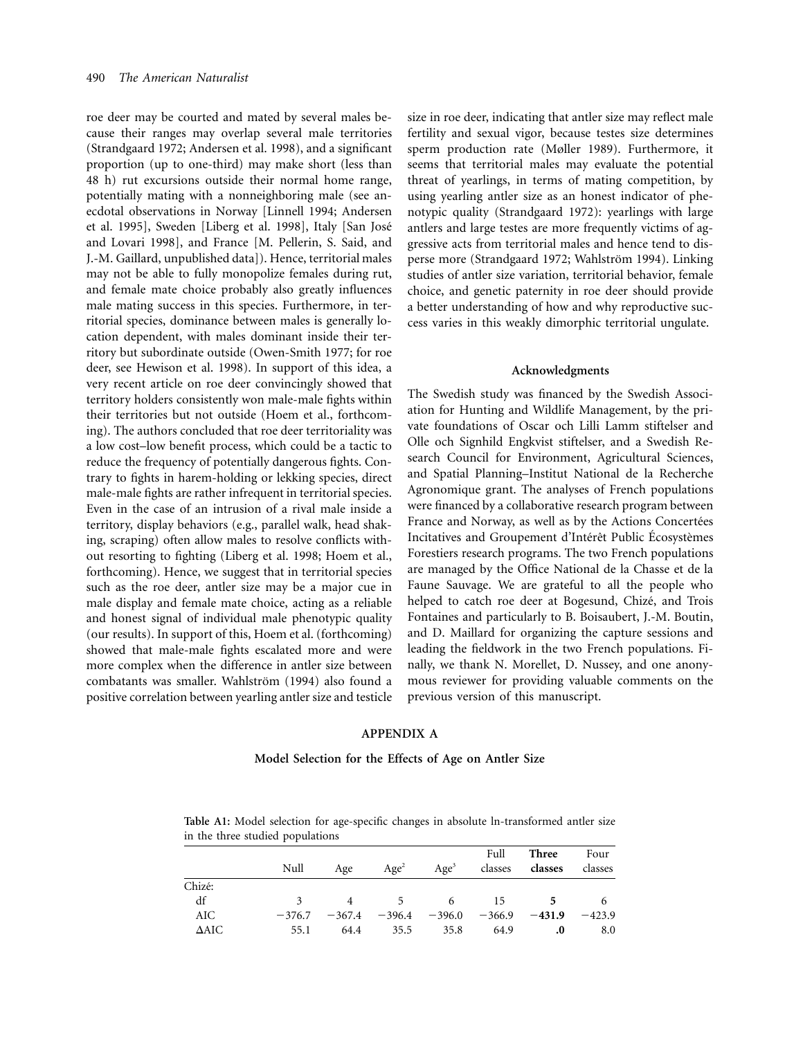roe deer may be courted and mated by several males because their ranges may overlap several male territories (Strandgaard 1972; Andersen et al. 1998), and a significant proportion (up to one-third) may make short (less than 48 h) rut excursions outside their normal home range, potentially mating with a nonneighboring male (see anecdotal observations in Norway [Linnell 1994; Andersen et al. 1995], Sweden [Liberg et al. 1998], Italy [San José and Lovari 1998], and France [M. Pellerin, S. Said, and J.-M. Gaillard, unpublished data]). Hence, territorial males may not be able to fully monopolize females during rut, and female mate choice probably also greatly influences male mating success in this species. Furthermore, in territorial species, dominance between males is generally location dependent, with males dominant inside their territory but subordinate outside (Owen-Smith 1977; for roe deer, see Hewison et al. 1998). In support of this idea, a very recent article on roe deer convincingly showed that territory holders consistently won male-male fights within their territories but not outside (Hoem et al., forthcoming). The authors concluded that roe deer territoriality was a low cost–low benefit process, which could be a tactic to reduce the frequency of potentially dangerous fights. Contrary to fights in harem-holding or lekking species, direct male-male fights are rather infrequent in territorial species. Even in the case of an intrusion of a rival male inside a territory, display behaviors (e.g., parallel walk, head shaking, scraping) often allow males to resolve conflicts without resorting to fighting (Liberg et al. 1998; Hoem et al., forthcoming). Hence, we suggest that in territorial species such as the roe deer, antler size may be a major cue in male display and female mate choice, acting as a reliable and honest signal of individual male phenotypic quality (our results). In support of this, Hoem et al. (forthcoming) showed that male-male fights escalated more and were more complex when the difference in antler size between combatants was smaller. Wahlström (1994) also found a positive correlation between yearling antler size and testicle

size in roe deer, indicating that antler size may reflect male fertility and sexual vigor, because testes size determines sperm production rate (Møller 1989). Furthermore, it seems that territorial males may evaluate the potential threat of yearlings, in terms of mating competition, by using yearling antler size as an honest indicator of phenotypic quality (Strandgaard 1972): yearlings with large antlers and large testes are more frequently victims of aggressive acts from territorial males and hence tend to disperse more (Strandgaard 1972; Wahlström 1994). Linking studies of antler size variation, territorial behavior, female choice, and genetic paternity in roe deer should provide a better understanding of how and why reproductive success varies in this weakly dimorphic territorial ungulate.

# **Acknowledgments**

The Swedish study was financed by the Swedish Association for Hunting and Wildlife Management, by the private foundations of Oscar och Lilli Lamm stiftelser and Olle och Signhild Engkvist stiftelser, and a Swedish Research Council for Environment, Agricultural Sciences, and Spatial Planning–Institut National de la Recherche Agronomique grant. The analyses of French populations were financed by a collaborative research program between France and Norway, as well as by the Actions Concertées Incitatives and Groupement d'Intérêt Public Écosystèmes Forestiers research programs. The two French populations are managed by the Office National de la Chasse et de la Faune Sauvage. We are grateful to all the people who helped to catch roe deer at Bogesund, Chizé, and Trois Fontaines and particularly to B. Boisaubert, J.-M. Boutin, and D. Maillard for organizing the capture sessions and leading the fieldwork in the two French populations. Finally, we thank N. Morellet, D. Nussey, and one anonymous reviewer for providing valuable comments on the previous version of this manuscript.

# **APPENDIX A**

#### **Model Selection for the Effects of Age on Antler Size**

**Table A1:** Model selection for age-specific changes in absolute ln-transformed antler size in the three studied populations

|              | Null         | Age      | Age <sup>2</sup>                    | Age <sup>3</sup> | Full | Three<br>classes <b>classes</b> | Four<br>classes |
|--------------|--------------|----------|-------------------------------------|------------------|------|---------------------------------|-----------------|
| Chizé:       |              |          |                                     |                  |      |                                 |                 |
| df           | $\mathbf{R}$ |          | $5 - 5$                             | - 6              | -15  | 5.                              |                 |
| AIC          | $-376.7$     | $-367.4$ | $-396.4$ $-396.0$ $-366.9$ $-431.9$ |                  |      |                                 | $-423.9$        |
| $\Delta AIC$ | 55.1         | 64.4     | 35.5                                | 35.8             | 64.9 | .0                              | 8.0             |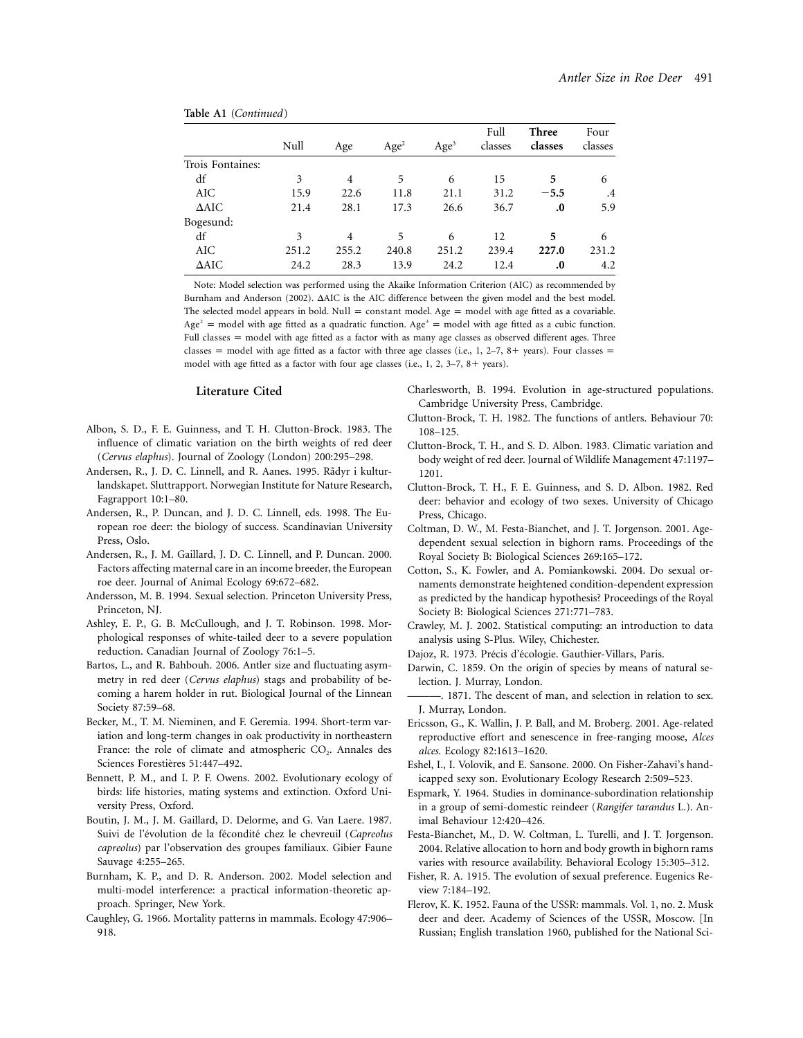|                    | Null  | Age            | Age <sup>2</sup> | Age <sup>3</sup> | Full<br>classes | <b>Three</b><br>classes | Four<br>classes |
|--------------------|-------|----------------|------------------|------------------|-----------------|-------------------------|-----------------|
| Trois Fontaines:   |       |                |                  |                  |                 |                         |                 |
| df                 | 3     | $\overline{4}$ | 5                | 6                | 15              | 5                       | 6               |
| AIC                | 15.9  | 22.6           | 11.8             | 21.1             | 31.2            | $-5.5$                  | $\cdot^4$       |
| $\Delta AIC$       | 21.4  | 28.1           | 17.3             | 26.6             | 36.7            | .0                      | 5.9             |
| Bogesund:          |       |                |                  |                  |                 |                         |                 |
| df                 | 3     | $\overline{4}$ | 5                | 6                | 12              | 5                       | 6               |
| AIC                | 251.2 | 255.2          | 240.8            | 251.2            | 239.4           | 227.0                   | 231.2           |
| $\Delta {\rm AIC}$ | 24.2  | 28.3           | 13.9             | 24.2             | 12.4            | .0                      | 4.2             |
|                    |       |                |                  |                  |                 |                         |                 |

**Table A1** (*Continued*)

Note: Model selection was performed using the Akaike Information Criterion (AIC) as recommended by Burnham and Anderson (2002).  $\Delta$ AIC is the AIC difference between the given model and the best model. The selected model appears in bold. Null  $=$  constant model. Age  $=$  model with age fitted as a covariable.  $Age^2$  = model with age fitted as a quadratic function. Age<sup>3</sup> = model with age fitted as a cubic function. Full classes = model with age fitted as a factor with as many age classes as observed different ages. Three classes = model with age fitted as a factor with three age classes (i.e., 1, 2–7, 8+ years). Four classes = model with age fitted as a factor with four age classes (i.e.,  $1, 2, 3-7, 8+$  years).

#### **Literature Cited**

- Albon, S. D., F. E. Guinness, and T. H. Clutton-Brock. 1983. The influence of climatic variation on the birth weights of red deer (*Cervus elaphus*). Journal of Zoology (London) 200:295–298.
- Andersen, R., J. D. C. Linnell, and R. Aanes. 1995. Rådyr i kulturlandskapet. Sluttrapport. Norwegian Institute for Nature Research, Fagrapport 10:1–80.
- Andersen, R., P. Duncan, and J. D. C. Linnell, eds. 1998. The European roe deer: the biology of success. Scandinavian University Press, Oslo.
- Andersen, R., J. M. Gaillard, J. D. C. Linnell, and P. Duncan. 2000. Factors affecting maternal care in an income breeder, the European roe deer. Journal of Animal Ecology 69:672–682.
- Andersson, M. B. 1994. Sexual selection. Princeton University Press, Princeton, NJ.
- Ashley, E. P., G. B. McCullough, and J. T. Robinson. 1998. Morphological responses of white-tailed deer to a severe population reduction. Canadian Journal of Zoology 76:1–5.
- Bartos, L., and R. Bahbouh. 2006. Antler size and fluctuating asymmetry in red deer (*Cervus elaphus*) stags and probability of becoming a harem holder in rut. Biological Journal of the Linnean Society 87:59–68.
- Becker, M., T. M. Nieminen, and F. Geremia. 1994. Short-term variation and long-term changes in oak productivity in northeastern France: the role of climate and atmospheric  $CO<sub>2</sub>$ . Annales des Sciences Forestières 51:447-492.
- Bennett, P. M., and I. P. F. Owens. 2002. Evolutionary ecology of birds: life histories, mating systems and extinction. Oxford University Press, Oxford.
- Boutin, J. M., J. M. Gaillard, D. Delorme, and G. Van Laere. 1987. Suivi de l'évolution de la fécondité chez le chevreuil (*Capreolus capreolus*) par l'observation des groupes familiaux. Gibier Faune Sauvage 4:255–265.
- Burnham, K. P., and D. R. Anderson. 2002. Model selection and multi-model interference: a practical information-theoretic approach. Springer, New York.
- Caughley, G. 1966. Mortality patterns in mammals. Ecology 47:906– 918.

Charlesworth, B. 1994. Evolution in age-structured populations. Cambridge University Press, Cambridge.

- Clutton-Brock, T. H. 1982. The functions of antlers. Behaviour 70: 108–125.
- Clutton-Brock, T. H., and S. D. Albon. 1983. Climatic variation and body weight of red deer. Journal of Wildlife Management 47:1197– 1201.
- Clutton-Brock, T. H., F. E. Guinness, and S. D. Albon. 1982. Red deer: behavior and ecology of two sexes. University of Chicago Press, Chicago.
- Coltman, D. W., M. Festa-Bianchet, and J. T. Jorgenson. 2001. Agedependent sexual selection in bighorn rams. Proceedings of the Royal Society B: Biological Sciences 269:165–172.
- Cotton, S., K. Fowler, and A. Pomiankowski. 2004. Do sexual ornaments demonstrate heightened condition-dependent expression as predicted by the handicap hypothesis? Proceedings of the Royal Society B: Biological Sciences 271:771–783.
- Crawley, M. J. 2002. Statistical computing: an introduction to data analysis using S-Plus. Wiley, Chichester.
- Dajoz, R. 1973. Précis d'écologie. Gauthier-Villars, Paris.
- Darwin, C. 1859. On the origin of species by means of natural selection. J. Murray, London.
- ———. 1871. The descent of man, and selection in relation to sex. J. Murray, London.
- Ericsson, G., K. Wallin, J. P. Ball, and M. Broberg. 2001. Age-related reproductive effort and senescence in free-ranging moose, *Alces alces*. Ecology 82:1613–1620.
- Eshel, I., I. Volovik, and E. Sansone. 2000. On Fisher-Zahavi's handicapped sexy son. Evolutionary Ecology Research 2:509–523.
- Espmark, Y. 1964. Studies in dominance-subordination relationship in a group of semi-domestic reindeer (*Rangifer tarandus* L.). Animal Behaviour 12:420–426.
- Festa-Bianchet, M., D. W. Coltman, L. Turelli, and J. T. Jorgenson. 2004. Relative allocation to horn and body growth in bighorn rams varies with resource availability. Behavioral Ecology 15:305–312.
- Fisher, R. A. 1915. The evolution of sexual preference. Eugenics Review 7:184–192.
- Flerov, K. K. 1952. Fauna of the USSR: mammals. Vol. 1, no. 2. Musk deer and deer. Academy of Sciences of the USSR, Moscow. [In Russian; English translation 1960, published for the National Sci-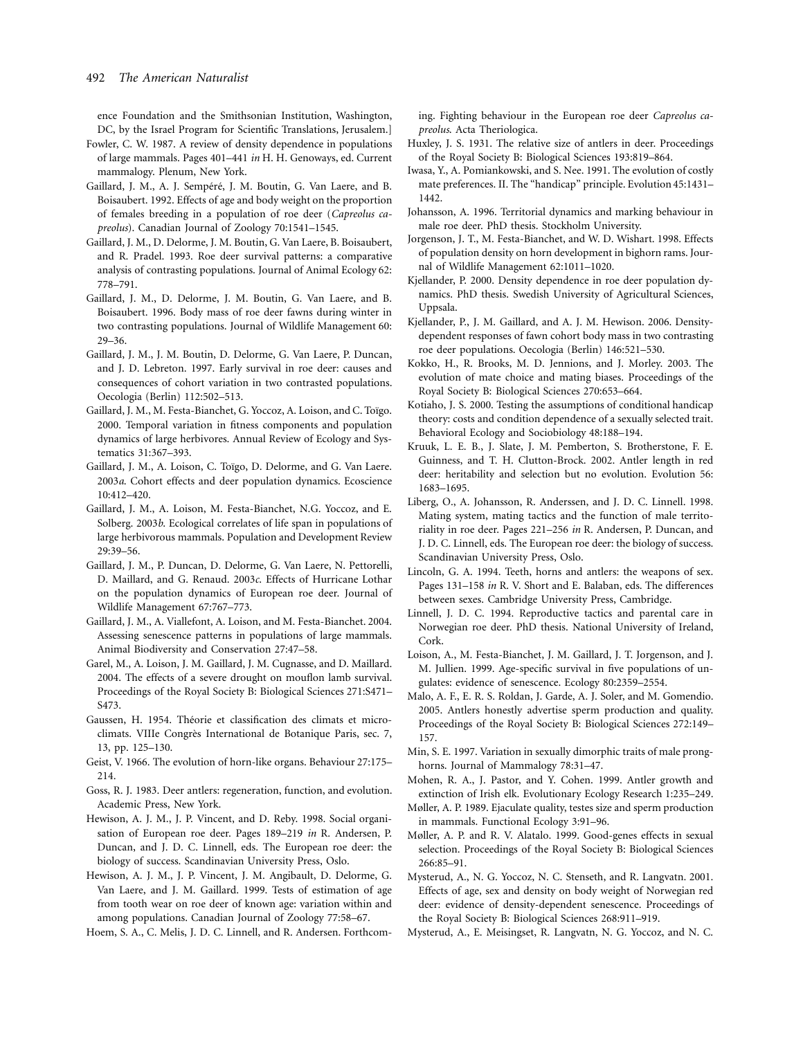#### 492 *The American Naturalist*

ence Foundation and the Smithsonian Institution, Washington, DC, by the Israel Program for Scientific Translations, Jerusalem.]

- Fowler, C. W. 1987. A review of density dependence in populations of large mammals. Pages 401–441 *in* H. H. Genoways, ed. Current mammalogy. Plenum, New York.
- Gaillard, J. M., A. J. Sempéré, J. M. Boutin, G. Van Laere, and B. Boisaubert. 1992. Effects of age and body weight on the proportion of females breeding in a population of roe deer (*Capreolus capreolus*). Canadian Journal of Zoology 70:1541–1545.
- Gaillard, J. M., D. Delorme, J. M. Boutin, G. Van Laere, B. Boisaubert, and R. Pradel. 1993. Roe deer survival patterns: a comparative analysis of contrasting populations. Journal of Animal Ecology 62: 778–791.
- Gaillard, J. M., D. Delorme, J. M. Boutin, G. Van Laere, and B. Boisaubert. 1996. Body mass of roe deer fawns during winter in two contrasting populations. Journal of Wildlife Management 60: 29–36.
- Gaillard, J. M., J. M. Boutin, D. Delorme, G. Van Laere, P. Duncan, and J. D. Lebreton. 1997. Early survival in roe deer: causes and consequences of cohort variation in two contrasted populations. Oecologia (Berlin) 112:502–513.
- Gaillard, J. M., M. Festa-Bianchet, G. Yoccoz, A. Loison, and C. Toïgo. 2000. Temporal variation in fitness components and population dynamics of large herbivores. Annual Review of Ecology and Systematics 31:367–393.
- Gaillard, J. M., A. Loison, C. Toïgo, D. Delorme, and G. Van Laere. 2003*a*. Cohort effects and deer population dynamics. Ecoscience 10:412–420.
- Gaillard, J. M., A. Loison, M. Festa-Bianchet, N.G. Yoccoz, and E. Solberg. 2003*b*. Ecological correlates of life span in populations of large herbivorous mammals. Population and Development Review 29:39–56.
- Gaillard, J. M., P. Duncan, D. Delorme, G. Van Laere, N. Pettorelli, D. Maillard, and G. Renaud. 2003*c*. Effects of Hurricane Lothar on the population dynamics of European roe deer. Journal of Wildlife Management 67:767–773.
- Gaillard, J. M., A. Viallefont, A. Loison, and M. Festa-Bianchet. 2004. Assessing senescence patterns in populations of large mammals. Animal Biodiversity and Conservation 27:47–58.
- Garel, M., A. Loison, J. M. Gaillard, J. M. Cugnasse, and D. Maillard. 2004. The effects of a severe drought on mouflon lamb survival. Proceedings of the Royal Society B: Biological Sciences 271:S471– S473.
- Gaussen, H. 1954. Théorie et classification des climats et microclimats. VIIIe Congrès International de Botanique Paris, sec. 7, 13, pp. 125–130.
- Geist, V. 1966. The evolution of horn-like organs. Behaviour 27:175– 214.
- Goss, R. J. 1983. Deer antlers: regeneration, function, and evolution. Academic Press, New York.
- Hewison, A. J. M., J. P. Vincent, and D. Reby. 1998. Social organisation of European roe deer. Pages 189–219 *in* R. Andersen, P. Duncan, and J. D. C. Linnell, eds. The European roe deer: the biology of success. Scandinavian University Press, Oslo.
- Hewison, A. J. M., J. P. Vincent, J. M. Angibault, D. Delorme, G. Van Laere, and J. M. Gaillard. 1999. Tests of estimation of age from tooth wear on roe deer of known age: variation within and among populations. Canadian Journal of Zoology 77:58–67.

Hoem, S. A., C. Melis, J. D. C. Linnell, and R. Andersen. Forthcom-

ing. Fighting behaviour in the European roe deer *Capreolus capreolus*. Acta Theriologica.

- Huxley, J. S. 1931. The relative size of antlers in deer. Proceedings of the Royal Society B: Biological Sciences 193:819–864.
- Iwasa, Y., A. Pomiankowski, and S. Nee. 1991. The evolution of costly mate preferences. II. The "handicap" principle. Evolution 45:1431– 1442.
- Johansson, A. 1996. Territorial dynamics and marking behaviour in male roe deer. PhD thesis. Stockholm University.
- Jorgenson, J. T., M. Festa-Bianchet, and W. D. Wishart. 1998. Effects of population density on horn development in bighorn rams. Journal of Wildlife Management 62:1011–1020.
- Kjellander, P. 2000. Density dependence in roe deer population dynamics. PhD thesis. Swedish University of Agricultural Sciences, Uppsala.
- Kjellander, P., J. M. Gaillard, and A. J. M. Hewison. 2006. Densitydependent responses of fawn cohort body mass in two contrasting roe deer populations. Oecologia (Berlin) 146:521–530.
- Kokko, H., R. Brooks, M. D. Jennions, and J. Morley. 2003. The evolution of mate choice and mating biases. Proceedings of the Royal Society B: Biological Sciences 270:653–664.
- Kotiaho, J. S. 2000. Testing the assumptions of conditional handicap theory: costs and condition dependence of a sexually selected trait. Behavioral Ecology and Sociobiology 48:188–194.
- Kruuk, L. E. B., J. Slate, J. M. Pemberton, S. Brotherstone, F. E. Guinness, and T. H. Clutton-Brock. 2002. Antler length in red deer: heritability and selection but no evolution. Evolution 56: 1683–1695.
- Liberg, O., A. Johansson, R. Anderssen, and J. D. C. Linnell. 1998. Mating system, mating tactics and the function of male territoriality in roe deer. Pages 221–256 *in* R. Andersen, P. Duncan, and J. D. C. Linnell, eds. The European roe deer: the biology of success. Scandinavian University Press, Oslo.
- Lincoln, G. A. 1994. Teeth, horns and antlers: the weapons of sex. Pages 131–158 *in* R. V. Short and E. Balaban, eds. The differences between sexes. Cambridge University Press, Cambridge.
- Linnell, J. D. C. 1994. Reproductive tactics and parental care in Norwegian roe deer. PhD thesis. National University of Ireland, Cork.
- Loison, A., M. Festa-Bianchet, J. M. Gaillard, J. T. Jorgenson, and J. M. Jullien. 1999. Age-specific survival in five populations of ungulates: evidence of senescence. Ecology 80:2359–2554.
- Malo, A. F., E. R. S. Roldan, J. Garde, A. J. Soler, and M. Gomendio. 2005. Antlers honestly advertise sperm production and quality. Proceedings of the Royal Society B: Biological Sciences 272:149– 157.
- Min, S. E. 1997. Variation in sexually dimorphic traits of male pronghorns. Journal of Mammalogy 78:31–47.
- Mohen, R. A., J. Pastor, and Y. Cohen. 1999. Antler growth and extinction of Irish elk. Evolutionary Ecology Research 1:235–249.
- Møller, A. P. 1989. Ejaculate quality, testes size and sperm production in mammals. Functional Ecology 3:91–96.
- Møller, A. P. and R. V. Alatalo. 1999. Good-genes effects in sexual selection. Proceedings of the Royal Society B: Biological Sciences 266:85–91.
- Mysterud, A., N. G. Yoccoz, N. C. Stenseth, and R. Langvatn. 2001. Effects of age, sex and density on body weight of Norwegian red deer: evidence of density-dependent senescence. Proceedings of the Royal Society B: Biological Sciences 268:911–919.
- Mysterud, A., E. Meisingset, R. Langvatn, N. G. Yoccoz, and N. C.